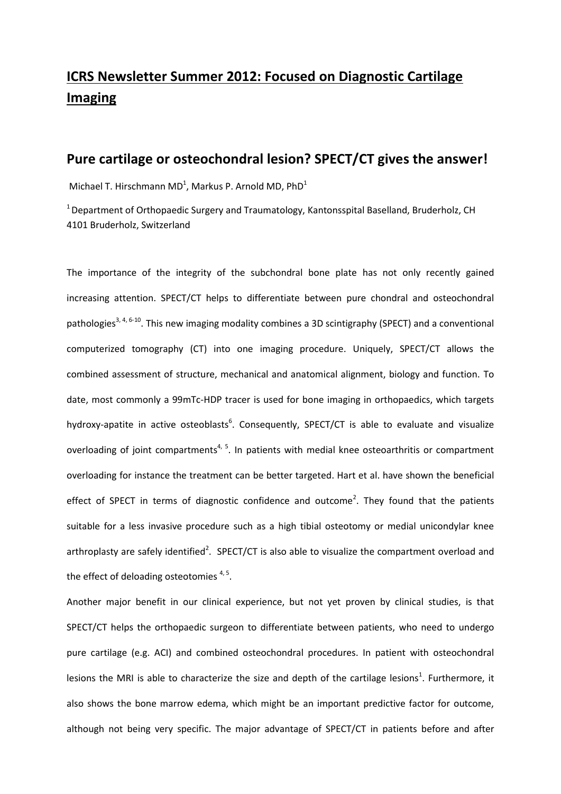## **ICRS Newsletter Summer 2012: Focused on Diagnostic Cartilage Imaging**

## **Pure cartilage or osteochondral lesion? SPECT/CT gives the answer!**

Michael T. Hirschmann MD<sup>1</sup>, Markus P. Arnold MD, PhD<sup>1</sup>

<sup>1</sup> Department of Orthopaedic Surgery and Traumatology, Kantonsspital Baselland, Bruderholz, CH 4101 Bruderholz, Switzerland

The importance of the integrity of the subchondral bone plate has not only recently gained increasing attention. SPECT/CT helps to differentiate between pure chondral and osteochondral pathologies<sup>[3,](#page-1-0) [4,](#page-1-1) [6-10](#page-1-2)</sup>. This new imaging modality combines a 3D scintigraphy (SPECT) and a conventional computerized tomography (CT) into one imaging procedure. Uniquely, SPECT/CT allows the combined assessment of structure, mechanical and anatomical alignment, biology and function. To date, most commonly a 99mTc-HDP tracer is used for bone imaging in orthopaedics, which targets hydroxy-apatite in active o[s](#page-1-2)teoblasts<sup>6</sup>. Consequently, SPECT/CT is able to evaluate and visualize overloading of joint compartments<sup>[4,](#page-1-1) [5](#page-1-3)</sup>. In patients with medial knee osteoarthritis or compartment overloading for instance the treatment can be better targeted. Hart et al. have shown the beneficial [e](#page-1-4)ffect of SPECT in terms of diagnostic confidence and outcome<sup>2</sup>. They found that the patients suitable for a less invasive procedure such as a high tibial osteotomy or medial unicondylar knee arthroplasty are safely identified<sup>2</sup>[.](#page-1-4) SPECT/CT is also able to visualize the compartment overload and the effect of deloading osteotomies<sup>[4,](#page-1-1)5</sup>.

Another major benefit in our clinical experience, but not yet proven by clinical studies, is that SPECT/CT helps the orthopaedic surgeon to differentiate between patients, who need to undergo pure cartilage (e.g. ACI) and combined osteochondral procedures. In patient with osteochondral le[s](#page-1-5)ions the MRI is able to characterize the size and depth of the cartilage lesions<sup>1</sup>. Furthermore, it also shows the bone marrow edema, which might be an important predictive factor for outcome, although not being very specific. The major advantage of SPECT/CT in patients before and after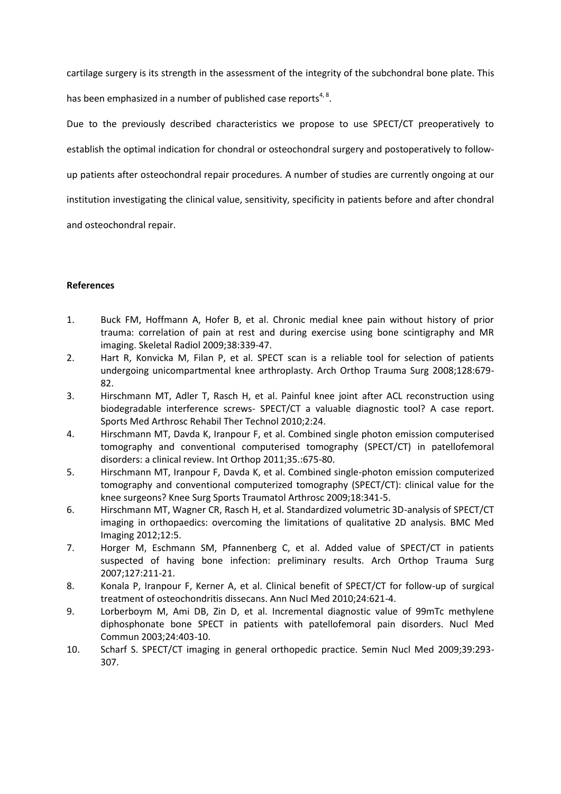cartilage surgery is its strength in the assessment of the integrity of the subchondral bone plate. This

has been emphasized in a number of published case reports<sup>[4,](#page-1-1) [8](#page-1-6)</sup>.

Due to the previously described characteristics we propose to use SPECT/CT preoperatively to establish the optimal indication for chondral or osteochondral surgery and postoperatively to followup patients after osteochondral repair procedures. A number of studies are currently ongoing at our institution investigating the clinical value, sensitivity, specificity in patients before and after chondral and osteochondral repair.

## **References**

- <span id="page-1-5"></span>1. Buck FM, Hoffmann A, Hofer B, et al. Chronic medial knee pain without history of prior trauma: correlation of pain at rest and during exercise using bone scintigraphy and MR imaging. Skeletal Radiol 2009;38:339-47.
- <span id="page-1-4"></span>2. Hart R, Konvicka M, Filan P, et al. SPECT scan is a reliable tool for selection of patients undergoing unicompartmental knee arthroplasty. Arch Orthop Trauma Surg 2008;128:679- 82.
- <span id="page-1-0"></span>3. Hirschmann MT, Adler T, Rasch H, et al. Painful knee joint after ACL reconstruction using biodegradable interference screws- SPECT/CT a valuable diagnostic tool? A case report. Sports Med Arthrosc Rehabil Ther Technol 2010;2:24.
- <span id="page-1-1"></span>4. Hirschmann MT, Davda K, Iranpour F, et al. Combined single photon emission computerised tomography and conventional computerised tomography (SPECT/CT) in patellofemoral disorders: a clinical review. Int Orthop 2011;35.:675-80.
- <span id="page-1-3"></span>5. Hirschmann MT, Iranpour F, Davda K, et al. Combined single-photon emission computerized tomography and conventional computerized tomography (SPECT/CT): clinical value for the knee surgeons? Knee Surg Sports Traumatol Arthrosc 2009;18:341-5.
- <span id="page-1-2"></span>6. Hirschmann MT, Wagner CR, Rasch H, et al. Standardized volumetric 3D-analysis of SPECT/CT imaging in orthopaedics: overcoming the limitations of qualitative 2D analysis. BMC Med Imaging 2012;12:5.
- 7. Horger M, Eschmann SM, Pfannenberg C, et al. Added value of SPECT/CT in patients suspected of having bone infection: preliminary results. Arch Orthop Trauma Surg 2007;127:211-21.
- <span id="page-1-6"></span>8. Konala P, Iranpour F, Kerner A, et al. Clinical benefit of SPECT/CT for follow-up of surgical treatment of osteochondritis dissecans. Ann Nucl Med 2010;24:621-4.
- 9. Lorberboym M, Ami DB, Zin D, et al. Incremental diagnostic value of 99mTc methylene diphosphonate bone SPECT in patients with patellofemoral pain disorders. Nucl Med Commun 2003;24:403-10.
- 10. Scharf S. SPECT/CT imaging in general orthopedic practice. Semin Nucl Med 2009;39:293- 307.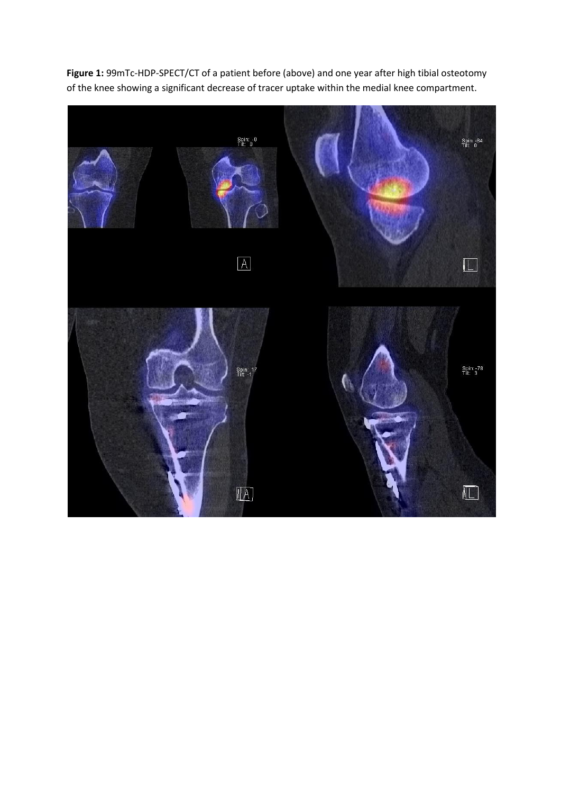

**Figure 1:** 99mTc-HDP-SPECT/CT of a patient before (above) and one year after high tibial osteotomy of the knee showing a significant decrease of tracer uptake within the medial knee compartment.